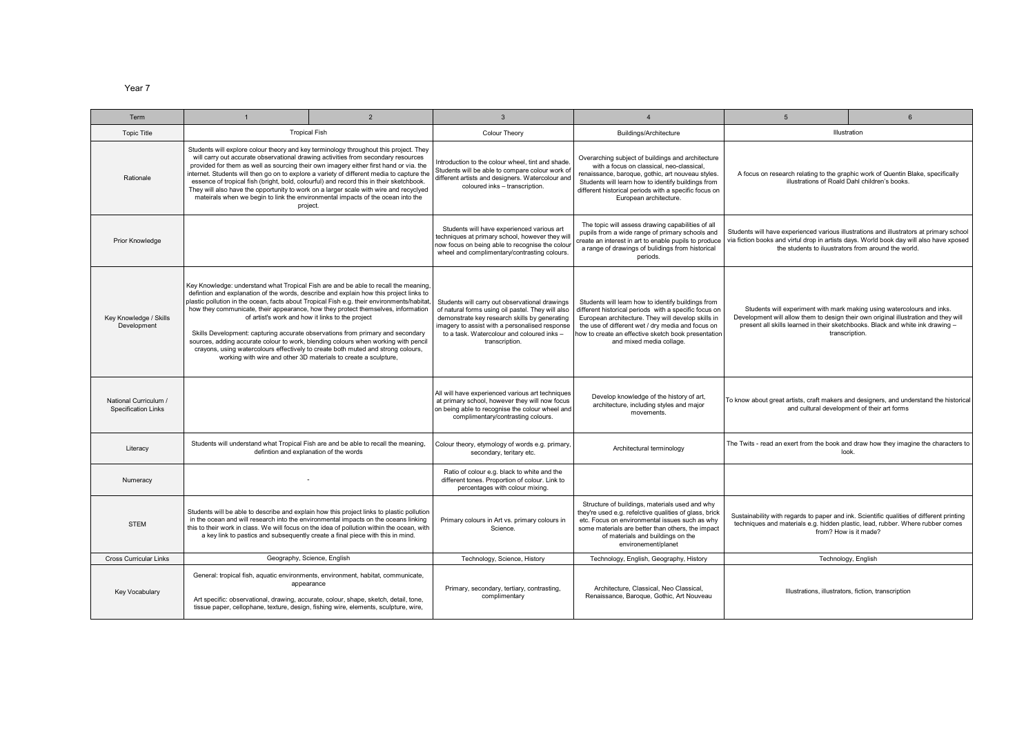Year 7

| Term                                                | $\overline{2}$                                                                                                                                                                                                                                                                                                                                                                                                                                                                                                                                                                                                                                                                                                                                     | $\overline{3}$                                                                                                                                                                                                                                                         | $\overline{A}$                                                                                                                                                                                                                                                                                            | $5^{\circ}$                                                                                                                                                                                                                                                       | $\epsilon$                                                                                                                                                                                                                                |
|-----------------------------------------------------|----------------------------------------------------------------------------------------------------------------------------------------------------------------------------------------------------------------------------------------------------------------------------------------------------------------------------------------------------------------------------------------------------------------------------------------------------------------------------------------------------------------------------------------------------------------------------------------------------------------------------------------------------------------------------------------------------------------------------------------------------|------------------------------------------------------------------------------------------------------------------------------------------------------------------------------------------------------------------------------------------------------------------------|-----------------------------------------------------------------------------------------------------------------------------------------------------------------------------------------------------------------------------------------------------------------------------------------------------------|-------------------------------------------------------------------------------------------------------------------------------------------------------------------------------------------------------------------------------------------------------------------|-------------------------------------------------------------------------------------------------------------------------------------------------------------------------------------------------------------------------------------------|
| <b>Topic Title</b>                                  | <b>Tropical Fish</b>                                                                                                                                                                                                                                                                                                                                                                                                                                                                                                                                                                                                                                                                                                                               |                                                                                                                                                                                                                                                                        | Buildings/Architecture                                                                                                                                                                                                                                                                                    | Illustration                                                                                                                                                                                                                                                      |                                                                                                                                                                                                                                           |
| Rationale                                           | Students will explore colour theory and key terminology throughout this project. They<br>will carry out accurate observational drawing activities from secondary resources<br>provided for them as well as sourcing their own imagery either first hand or via. the<br>internet. Students will then go on to explore a variety of different media to capture the<br>essence of tropical fish (bright, bold, colourful) and record this in their sketchbook.<br>They will also have the opportunity to work on a larger scale with wire and recyclyed<br>mateirals when we begin to link the environmental impacts of the ocean into the<br>project.                                                                                                | Introduction to the colour wheel, tint and shade.<br>Students will be able to compare colour work of<br>different artists and designers. Watercolour and<br>coloured inks - transcription.                                                                             | Overarching subject of buildings and architecture<br>with a focus on classical, neo-classical,<br>renaissance, baroque, gothic, art nouveau styles.<br>Students will learn how to identify buildings from<br>different historical periods with a specific focus on<br>European architecture.              | A focus on research relating to the graphic work of Quentin Blake, specifically<br>illustrations of Roald Dahl children's books.                                                                                                                                  |                                                                                                                                                                                                                                           |
| <b>Prior Knowledge</b>                              |                                                                                                                                                                                                                                                                                                                                                                                                                                                                                                                                                                                                                                                                                                                                                    | Students will have experienced various art<br>techniques at primary school, however they wil<br>now focus on being able to recognise the colour<br>wheel and complimentary/contrasting colours.                                                                        | The topic will assess drawing capabilities of all<br>pupils from a wide range of primary schools and<br>create an interest in art to enable pupils to produce<br>a range of drawings of bulidings from historical<br>periods.                                                                             |                                                                                                                                                                                                                                                                   | Students will have experienced various illustrations and illustrators at primary school<br>via fiction books and virtul drop in artists days. World book day will also have xposed<br>the students to iluustrators from around the world. |
| Key Knowledge / Skills<br>Development               | Key Knowledge: understand what Tropical Fish are and be able to recall the meaning,<br>defintion and explanation of the words, describe and explain how this project links to<br>plastic pollution in the ocean, facts about Tropical Fish e.g. their environments/habitat,<br>how they communicate, their appearance, how they protect themselves, information<br>of artist's work and how it links to the project<br>Skills Development: capturing accurate observations from primary and secondary<br>sources, adding accurate colour to work, blending colours when working with pencil<br>crayons, using watercolours effectively to create both muted and strong colours,<br>working with wire and other 3D materials to create a sculpture, | Students will carry out observational drawings<br>of natural forms using oil pastel. They will also<br>demonstrate key research skills by generating<br>imagery to assist with a personalised response<br>to a task. Watercolour and coloured inks -<br>transcription. | Students will learn how to identify buildings from<br>different historical periods with a specific focus on<br>European architecture. They will develop skills in<br>the use of different wet / dry media and focus on<br>how to create an effective sketch book presentation<br>and mixed media collage. | Students will experiment with mark making using watercolours and inks.<br>Development will allow them to design their own original illustration and they will<br>present all skills learned in their sketchbooks. Black and white ink drawing -<br>transcription. |                                                                                                                                                                                                                                           |
| National Curriculum /<br><b>Specification Links</b> |                                                                                                                                                                                                                                                                                                                                                                                                                                                                                                                                                                                                                                                                                                                                                    | All will have experienced various art techniques<br>at primary school, however they will now focus<br>on being able to recognise the colour wheel and<br>complimentary/contrasting colours.                                                                            | Develop knowledge of the history of art,<br>architecture, including styles and major<br>movements.                                                                                                                                                                                                        | To know about great artists, craft makers and designers, and understand the historical<br>and cultural development of their art forms                                                                                                                             |                                                                                                                                                                                                                                           |
| Literacy                                            | Students will understand what Tropical Fish are and be able to recall the meaning,<br>defintion and explanation of the words                                                                                                                                                                                                                                                                                                                                                                                                                                                                                                                                                                                                                       | Colour theory, etymology of words e.g. primary,<br>secondary, teritary etc.                                                                                                                                                                                            | Architectural terminology                                                                                                                                                                                                                                                                                 | The Twits - read an exert from the book and draw how they imagine the characters to<br>look.                                                                                                                                                                      |                                                                                                                                                                                                                                           |
| Numeracy                                            |                                                                                                                                                                                                                                                                                                                                                                                                                                                                                                                                                                                                                                                                                                                                                    | Ratio of colour e.g. black to white and the<br>different tones. Proportion of colour. Link to<br>percentages with colour mixing.                                                                                                                                       |                                                                                                                                                                                                                                                                                                           |                                                                                                                                                                                                                                                                   |                                                                                                                                                                                                                                           |
| <b>STEM</b>                                         | Students will be able to describe and explain how this project links to plastic pollution<br>in the ocean and will research into the environmental impacts on the oceans linking<br>this to their work in class. We will focus on the idea of pollution within the ocean, with<br>a key link to pastics and subsequently create a final piece with this in mind.                                                                                                                                                                                                                                                                                                                                                                                   | Primary colours in Art vs. primary colours in<br>Science.                                                                                                                                                                                                              | Structure of buildings, materials used and why<br>they're used e.g. refelctive qualities of glass, brick<br>etc. Focus on environmental issues such as why<br>some materials are better than others, the impact<br>of materials and buildings on the<br>environement/planet                               | Sustainability with regards to paper and ink. Scientific qualities of different printing<br>techniques and materials e.g. hidden plastic, lead, rubber. Where rubber comes<br>from? How is it made?                                                               |                                                                                                                                                                                                                                           |
| <b>Cross Curricular Links</b>                       | Geography, Science, English                                                                                                                                                                                                                                                                                                                                                                                                                                                                                                                                                                                                                                                                                                                        | Technology, Science, History                                                                                                                                                                                                                                           | Technology, English, Geography, History                                                                                                                                                                                                                                                                   |                                                                                                                                                                                                                                                                   | Technology, English                                                                                                                                                                                                                       |
| Key Vocabulary                                      | General: tropical fish, aquatic environments, environment, habitat, communicate,<br>appearance<br>Art specific: observational, drawing, accurate, colour, shape, sketch, detail, tone,<br>tissue paper, cellophane, texture, design, fishing wire, elements, sculpture, wire,                                                                                                                                                                                                                                                                                                                                                                                                                                                                      | Primary, secondary, tertiary, contrasting,<br>complimentary                                                                                                                                                                                                            | Architecture, Classical, Neo Classical,<br>Renaissance, Baroque, Gothic, Art Nouveau                                                                                                                                                                                                                      |                                                                                                                                                                                                                                                                   | Illustrations, illustrators, fiction, transcription                                                                                                                                                                                       |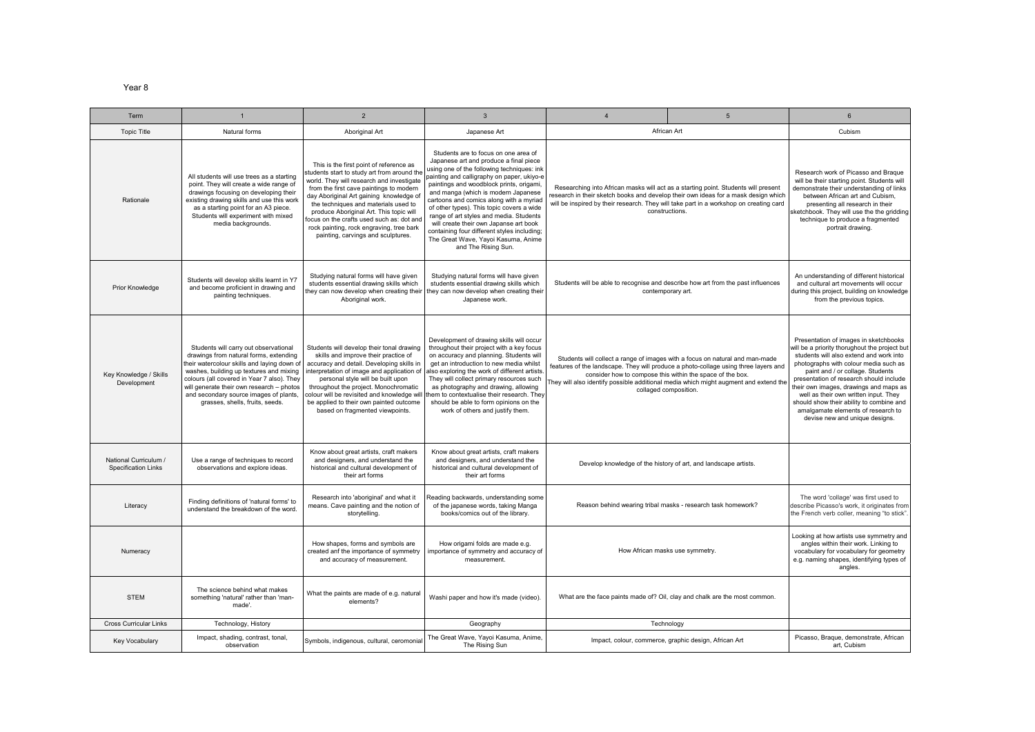Year 8

| Term                                                | $\overline{1}$                                                                                                                                                                                                                                                                                                                                    | $\overline{2}$                                                                                                                                                                                                                                                                                                                                                                                                                              | $\overline{3}$                                                                                                                                                                                                                                                                                                                                                                                                                                                                                                                                          | $\overline{4}$                                                                                                                                                                                                                                                                                                                                    | $5\overline{5}$ | 6                                                                                                                                                                                                                                                                                                                                                                                                                                                                |
|-----------------------------------------------------|---------------------------------------------------------------------------------------------------------------------------------------------------------------------------------------------------------------------------------------------------------------------------------------------------------------------------------------------------|---------------------------------------------------------------------------------------------------------------------------------------------------------------------------------------------------------------------------------------------------------------------------------------------------------------------------------------------------------------------------------------------------------------------------------------------|---------------------------------------------------------------------------------------------------------------------------------------------------------------------------------------------------------------------------------------------------------------------------------------------------------------------------------------------------------------------------------------------------------------------------------------------------------------------------------------------------------------------------------------------------------|---------------------------------------------------------------------------------------------------------------------------------------------------------------------------------------------------------------------------------------------------------------------------------------------------------------------------------------------------|-----------------|------------------------------------------------------------------------------------------------------------------------------------------------------------------------------------------------------------------------------------------------------------------------------------------------------------------------------------------------------------------------------------------------------------------------------------------------------------------|
| <b>Topic Title</b>                                  | Natural forms                                                                                                                                                                                                                                                                                                                                     | Aboriginal Art                                                                                                                                                                                                                                                                                                                                                                                                                              | Japanese Art                                                                                                                                                                                                                                                                                                                                                                                                                                                                                                                                            | African Art                                                                                                                                                                                                                                                                                                                                       |                 | Cubism                                                                                                                                                                                                                                                                                                                                                                                                                                                           |
| Rationale                                           | All students will use trees as a starting<br>point. They will create a wide range of<br>drawings focusing on developing their<br>existing drawing skills and use this work<br>as a starting point for an A3 piece.<br>Students will experiment with mixed<br>media backgrounds.                                                                   | This is the first point of reference as<br>students start to study art from around the<br>world. They will research and investigate<br>from the first cave paintings to modern<br>day Aboriginal Art gaining knowledge of<br>the techniques and materials used to<br>produce Aboriginal Art. This topic will<br>focus on the crafts used such as: dot and<br>rock painting, rock engraving, tree bark<br>painting, carvings and sculptures. | Students are to focus on one area of<br>Japanese art and produce a final piece<br>using one of the following techniques: ink<br>painting and calligraphy on paper, ukiyo-e<br>paintings and woodblock prints, origami,<br>and manga (which is modern Japanese<br>cartoons and comics along with a myriad<br>of other types). This topic covers a wide<br>range of art styles and media. Students<br>will create their own Japanse art book<br>containing four different styles including;<br>The Great Wave, Yayoi Kasuma, Anime<br>and The Rising Sun. | Researching into African masks will act as a starting point. Students will present<br>research in their sketch books and develop their own ideas for a mask design which<br>will be inspired by their research. They will take part in a workshop on creating card<br>constructions.                                                              |                 | Research work of Picasso and Braque<br>will be their starting point. Students will<br>demonstrate their understanding of links<br>between African art and Cubism.<br>presenting all research in their<br>sketchbook. They will use the the gridding<br>technique to produce a fragmented<br>portrait drawing.                                                                                                                                                    |
| Prior Knowledge                                     | Students will develop skills learnt in Y7<br>and become proficient in drawing and<br>painting techniques.                                                                                                                                                                                                                                         | Studying natural forms will have given<br>students essential drawing skills which<br>they can now develop when creating their<br>Aboriginal work.                                                                                                                                                                                                                                                                                           | Studying natural forms will have given<br>students essential drawing skills which<br>they can now develop when creating their<br>Japanese work.                                                                                                                                                                                                                                                                                                                                                                                                         | Students will be able to recognise and describe how art from the past influences<br>contemporary art.                                                                                                                                                                                                                                             |                 | An understanding of different historical<br>and cultural art movements will occur<br>during this project, building on knowledge<br>from the previous topics.                                                                                                                                                                                                                                                                                                     |
| Key Knowledge / Skills<br>Development               | Students will carry out observational<br>drawings from natural forms, extending<br>their watercolour skills and laying down of<br>washes, building up textures and mixing<br>colours (all covered in Year 7 also). They<br>will generate their own research - photos<br>and secondary source images of plants,<br>grasses, shells, fruits, seeds. | Students will develop their tonal drawing<br>skills and improve their practice of<br>accuracy and detail. Developing skills in<br>interpretation of image and application of<br>personal style will be built upon<br>throughout the project. Monochromatic<br>colour will be revisited and knowledge will<br>be applied to their own painted outcome<br>based on fragmented viewpoints.                                                     | Development of drawing skills will occur<br>throughout their project with a key focus<br>on accuracy and planning. Students will<br>get an introduction to new media whilst<br>also exploring the work of different artists.<br>They will collect primary resources such<br>as photography and drawing, allowing<br>them to contextualise their research. They<br>should be able to form opinions on the<br>work of others and justify them.                                                                                                            | Students will collect a range of images with a focus on natural and man-made<br>features of the landscape. They will produce a photo-collage using three layers and<br>consider how to compose this within the space of the box.<br>They will also identify possible additional media which might augment and extend the<br>collaged composition. |                 | Presentation of images in sketchbooks<br>will be a priority thorughout the project but<br>students will also extend and work into<br>photographs with colour media such as<br>paint and / or collage. Students<br>presentation of research should include<br>their own images, drawings and maps as<br>well as their own written input. They<br>should show their ability to combine and<br>amalgamate elements of research to<br>devise new and unique designs. |
| National Curriculum /<br><b>Specification Links</b> | Use a range of techniques to record<br>observations and explore ideas.                                                                                                                                                                                                                                                                            | Know about great artists, craft makers<br>and designers, and understand the<br>historical and cultural development of<br>their art forms                                                                                                                                                                                                                                                                                                    | Know about great artists, craft makers<br>and designers, and understand the<br>historical and cultural development of<br>their art forms                                                                                                                                                                                                                                                                                                                                                                                                                | Develop knowledge of the history of art, and landscape artists.                                                                                                                                                                                                                                                                                   |                 |                                                                                                                                                                                                                                                                                                                                                                                                                                                                  |
| Literacy                                            | Finding definitions of 'natural forms' to<br>understand the breakdown of the word                                                                                                                                                                                                                                                                 | Research into 'aboriginal' and what it<br>means. Cave painting and the notion of<br>storytelling.                                                                                                                                                                                                                                                                                                                                           | Reading backwards, understanding some<br>of the japanese words, taking Manga<br>books/comics out of the library.                                                                                                                                                                                                                                                                                                                                                                                                                                        | Reason behind wearing tribal masks - research task homework?                                                                                                                                                                                                                                                                                      |                 | The word 'collage' was first used to<br>describe Picasso's work, it originates from<br>the French verb coller, meaning "to stick"                                                                                                                                                                                                                                                                                                                                |
| Numeracy                                            |                                                                                                                                                                                                                                                                                                                                                   | How shapes, forms and symbols are<br>created anf the importance of symmetry<br>and accuracy of measurement.                                                                                                                                                                                                                                                                                                                                 | How origami folds are made e.g.<br>importance of symmetry and accuracy of<br>measurement.                                                                                                                                                                                                                                                                                                                                                                                                                                                               | How African masks use symmetry.                                                                                                                                                                                                                                                                                                                   |                 | Looking at how artists use symmetry and<br>angles within their work. Linking to<br>vocabulary for vocabulary for geometry<br>e.g. naming shapes, identifying types of<br>angles.                                                                                                                                                                                                                                                                                 |
| <b>STEM</b>                                         | The science behind what makes<br>something 'natural' rather than 'man-<br>made'.                                                                                                                                                                                                                                                                  | What the paints are made of e.g. natural<br>elements?                                                                                                                                                                                                                                                                                                                                                                                       | Washi paper and how it's made (video).                                                                                                                                                                                                                                                                                                                                                                                                                                                                                                                  | What are the face paints made of? Oil, clay and chalk are the most common.                                                                                                                                                                                                                                                                        |                 |                                                                                                                                                                                                                                                                                                                                                                                                                                                                  |
| <b>Cross Curricular Links</b>                       | Technology, History                                                                                                                                                                                                                                                                                                                               |                                                                                                                                                                                                                                                                                                                                                                                                                                             | Geography                                                                                                                                                                                                                                                                                                                                                                                                                                                                                                                                               | Technology                                                                                                                                                                                                                                                                                                                                        |                 |                                                                                                                                                                                                                                                                                                                                                                                                                                                                  |
| Key Vocabulary                                      | Impact, shading, contrast, tonal,<br>observation                                                                                                                                                                                                                                                                                                  | Symbols, indigenous, cultural, ceromonial                                                                                                                                                                                                                                                                                                                                                                                                   | The Great Wave, Yayoi Kasuma, Anime,<br>The Rising Sun                                                                                                                                                                                                                                                                                                                                                                                                                                                                                                  | Impact, colour, commerce, graphic design, African Art                                                                                                                                                                                                                                                                                             |                 | Picasso, Braque, demonstrate, African<br>art, Cubism                                                                                                                                                                                                                                                                                                                                                                                                             |